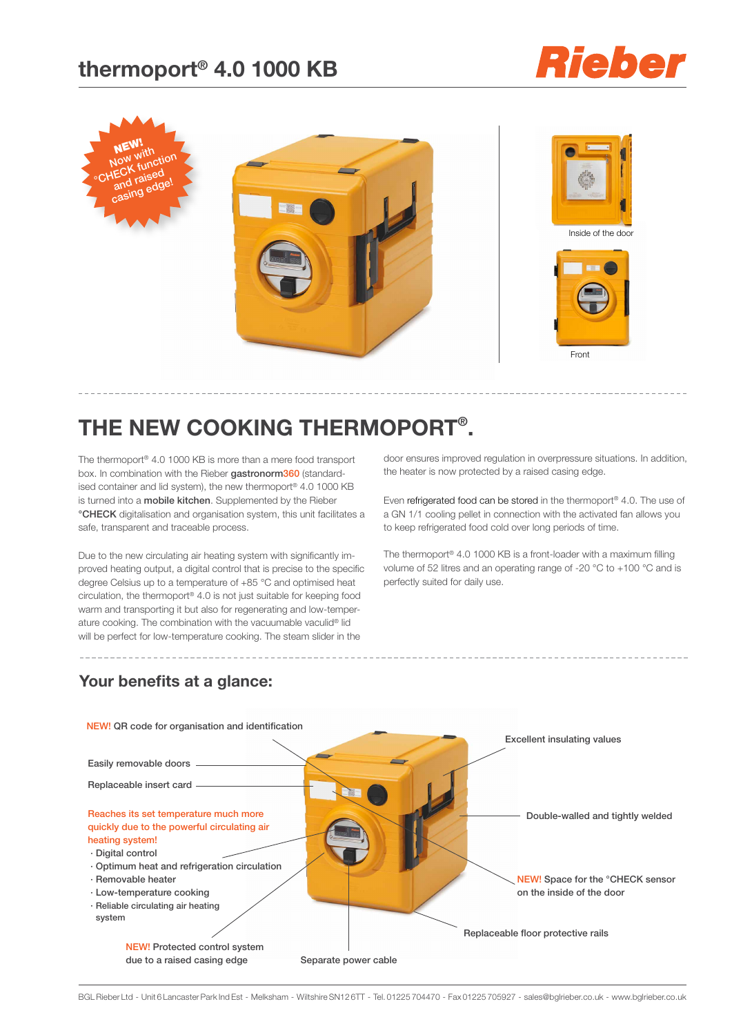### **thermoport® 4.0 1000 KB**





## **The new cooking thermoport® .**

The thermoport® 4.0 1000 KB is more than a mere food transport box. In combination with the Rieber gastronorm360 (standardised container and lid system), the new thermoport® 4.0 1000 KB is turned into a mobile kitchen. Supplemented by the Rieber °CHECK digitalisation and organisation system, this unit facilitates a safe, transparent and traceable process.

Due to the new circulating air heating system with significantly improved heating output, a digital control that is precise to the specific degree Celsius up to a temperature of +85 °C and optimised heat circulation, the thermoport® 4.0 is not just suitable for keeping food warm and transporting it but also for regenerating and low-temperature cooking. The combination with the vacuumable vaculid® lid will be perfect for low-temperature cooking. The steam slider in the

door ensures improved regulation in overpressure situations. In addition, the heater is now protected by a raised casing edge.

Even refrigerated food can be stored in the thermoport® 4.0. The use of a GN 1/1 cooling pellet in connection with the activated fan allows you to keep refrigerated food cold over long periods of time.

The thermoport® 4.0 1000 KB is a front-loader with a maximum filling volume of 52 litres and an operating range of -20 °C to +100 °C and is perfectly suited for daily use.

### **Your benefits at a glance:**